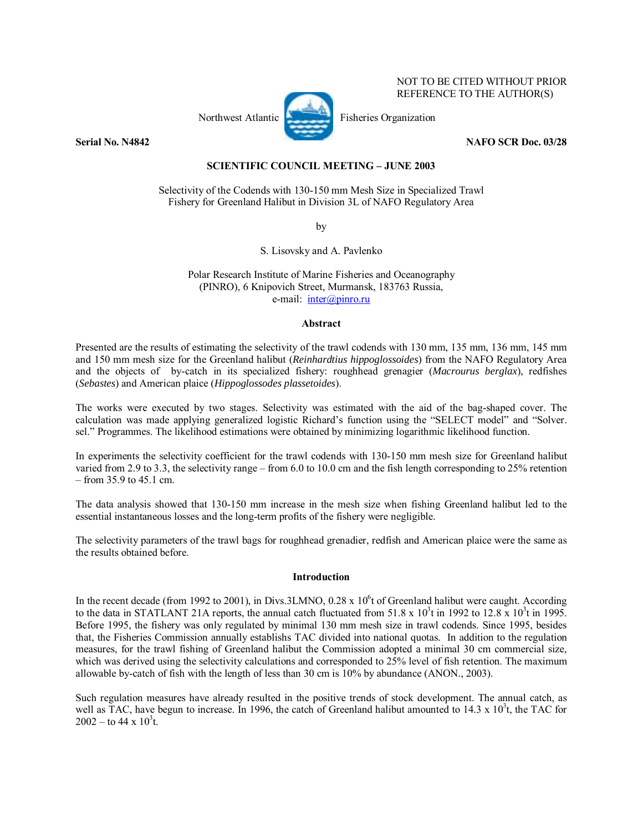## NOT TO BE CITED WITHOUT PRIOR REFERENCE TO THE AUTHOR(S)

Northwest Atlantic Fisheries Organization



**Serial No. N4842** NAFO SCR Doc. 03/28

# **SCIENTIFIC COUNCIL MEETING - JUNE 2003**

## Selectivity of the Codends with 130-150 mm Mesh Size in Specialized Trawl Fishery for Greenland Halibut in Division 3L of NAFO Regulatory Area

by

S. Lisovsky and A. Pavlenko

Polar Research Institute of Marine Fisheries and Oceanography (PINRO), 6 Knipovich Street, Murmansk, 183763 Russia, e-mail: inter@pinro.ru

## **Abstract**

Presented are the results of estimating the selectivity of the trawl codends with 130 mm, 135 mm, 136 mm, 145 mm and 150 mm mesh size for the Greenland halibut (*Reinhardtius hippoglossoides*) from the NAFO Regulatory Area and the objects of by-catch in its specialized fishery: roughhead grenagier (*Macrourus berglax*), redfishes (*Sebastes*) and American plaice (*Hippoglossodes plassetoides*).

The works were executed by two stages. Selectivity was estimated with the aid of the bag-shaped cover. The calculation was made applying generalized logistic Richard's function using the "SELECT model" and "Solver. sel." Programmes. The likelihood estimations were obtained by minimizing logarithmic likelihood function.

In experiments the selectivity coefficient for the trawl codends with 130-150 mm mesh size for Greenland halibut varied from 2.9 to 3.3, the selectivity range – from 6.0 to 10.0 cm and the fish length corresponding to 25% retention  $-$  from 35.9 to 45.1 cm.

The data analysis showed that 130-150 mm increase in the mesh size when fishing Greenland halibut led to the essential instantaneous losses and the long-term profits of the fishery were negligible.

The selectivity parameters of the trawl bags for roughhead grenadier, redfish and American plaice were the same as the results obtained before.

## **Introduction**

In the recent decade (from 1992 to 2001), in Divs.3LMNO,  $0.28 \times 10^6$ t of Greenland halibut were caught. According to the data in STATLANT 21A reports, the annual catch fluctuated from  $51.8 \times 10^3$ t in 1992 to 12.8 x  $10^3$ t in 1995. Before 1995, the fishery was only regulated by minimal 130 mm mesh size in trawl codends. Since 1995, besides that, the Fisheries Commission annually establishs TAC divided into national quotas. In addition to the regulation measures, for the trawl fishing of Greenland halibut the Commission adopted a minimal 30 cm commercial size, which was derived using the selectivity calculations and corresponded to 25% level of fish retention. The maximum allowable by-catch of fish with the length of less than 30 cm is 10% by abundance (ANON., 2003).

Such regulation measures have already resulted in the positive trends of stock development. The annual catch, as well as TAC, have begun to increase. In 1996, the catch of Greenland halibut amounted to 14.3 x  $10^3$ t, the TAC for  $2002 -$  to 44 x  $10^3$ t.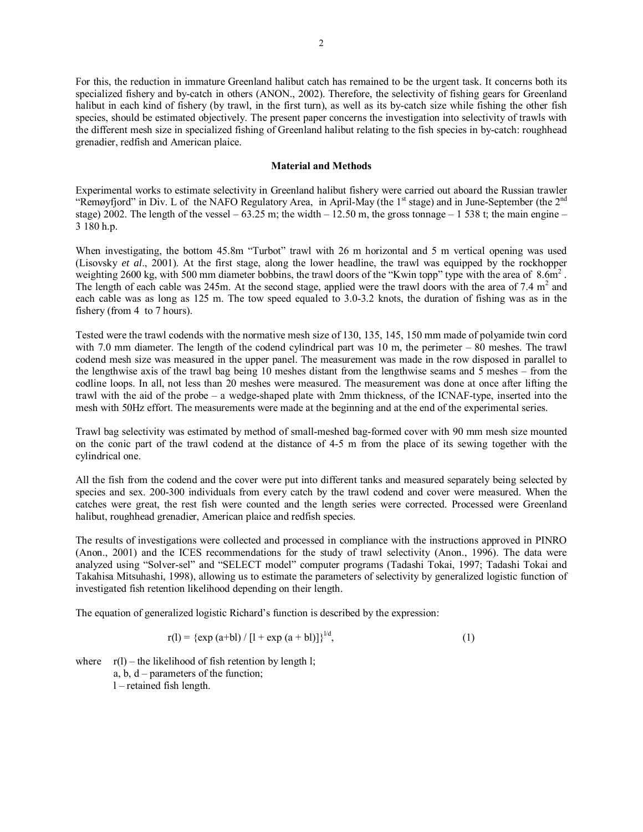For this, the reduction in immature Greenland halibut catch has remained to be the urgent task. It concerns both its specialized fishery and by-catch in others (ANON., 2002). Therefore, the selectivity of fishing gears for Greenland halibut in each kind of fishery (by trawl, in the first turn), as well as its by-catch size while fishing the other fish species, should be estimated objectively. The present paper concerns the investigation into selectivity of trawls with the different mesh size in specialized fishing of Greenland halibut relating to the fish species in by-catch: roughhead grenadier, redfish and American plaice.

### **Material and Methods**

Experimental works to estimate selectivity in Greenland halibut fishery were carried out aboard the Russian trawler "Remøyfjord" in Div. L of the NAFO Regulatory Area, in April-May (the  $1<sup>st</sup>$  stage) and in June-September (the  $2<sup>nd</sup>$ stage) 2002. The length of the vessel  $-63.25$  m; the width  $-12.50$  m, the gross tonnage  $-1538$  t; the main engine  $-$ 3 180 h.p.

When investigating, the bottom 45.8m "Turbot" trawl with 26 m horizontal and 5 m vertical opening was used (Lisovsky *et al*., 2001). At the first stage, along the lower headline, the trawl was equipped by the rockhopper weighting 2600 kg, with 500 mm diameter bobbins, the trawl doors of the "Kwin topp" type with the area of  $8.6\text{m}^2$ . The length of each cable was 245m. At the second stage, applied were the trawl doors with the area of 7.4  $m<sup>2</sup>$  and each cable was as long as 125 m. The tow speed equaled to 3.0-3.2 knots, the duration of fishing was as in the fishery (from 4 to 7 hours).

Tested were the trawl codends with the normative mesh size of 130, 135, 145, 150 mm made of polyamide twin cord with 7.0 mm diameter. The length of the codend cylindrical part was  $10 \text{ m}$ , the perimeter  $-80$  meshes. The trawl codend mesh size was measured in the upper panel. The measurement was made in the row disposed in parallel to the lengthwise axis of the trawl bag being 10 meshes distant from the lengthwise seams and 5 meshes  $-$  from the codline loops. In all, not less than 20 meshes were measured. The measurement was done at once after lifting the trawl with the aid of the probe – a wedge-shaped plate with 2mm thickness, of the ICNAF-type, inserted into the mesh with 50Hz effort. The measurements were made at the beginning and at the end of the experimental series.

Trawl bag selectivity was estimated by method of small-meshed bag-formed cover with 90 mm mesh size mounted on the conic part of the trawl codend at the distance of 4-5 m from the place of its sewing together with the cylindrical one.

All the fish from the codend and the cover were put into different tanks and measured separately being selected by species and sex. 200-300 individuals from every catch by the trawl codend and cover were measured. When the catches were great, the rest fish were counted and the length series were corrected. Processed were Greenland halibut, roughhead grenadier, American plaice and redfish species.

The results of investigations were collected and processed in compliance with the instructions approved in PINRO (Anon., 2001) and the ICES recommendations for the study of trawl selectivity (Anon., 1996). The data were analyzed using "Solver-sel" and "SELECT model" computer programs (Tadashi Tokai, 1997; Tadashi Tokai and Takahisa Mitsuhashi, 1998), allowing us to estimate the parameters of selectivity by generalized logistic function of investigated fish retention likelihood depending on their length.

The equation of generalized logistic Richard's function is described by the expression:

$$
r(l) = {exp (a+bl) / [1 + exp (a + bl)]}^{1/d},
$$
 (1)

where  $r(1)$  – the likelihood of fish retention by length l; a, b,  $d$  – parameters of the function;  $l$  – retained fish length.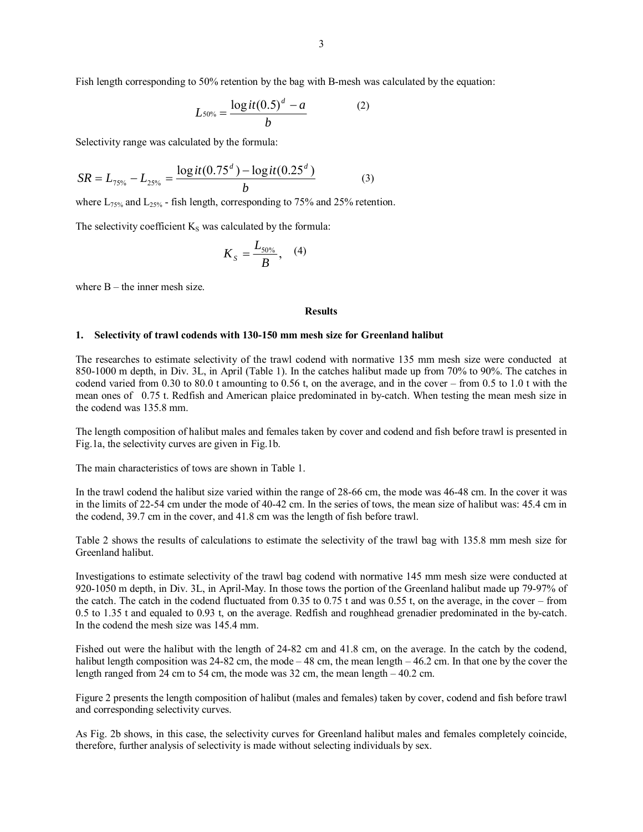Fish length corresponding to 50% retention by the bag with B-mesh was calculated by the equation:

$$
L_{50\%} = \frac{\log it(0.5)^d - a}{b} \tag{2}
$$

Selectivity range was calculated by the formula:

$$
SR = L_{75\%} - L_{25\%} = \frac{\log it(0.75^d) - \log it(0.25^d)}{b}
$$
(3)

where  $L_{75\%}$  and  $L_{25\%}$  - fish length, corresponding to 75% and 25% retention.

The selectivity coefficient  $K<sub>S</sub>$  was calculated by the formula:

$$
K_{s}=\frac{L_{50\%}}{B},\quad(4)
$$

where  $B$  – the inner mesh size.

### **Results**

#### **1. Selectivity of trawl codends with 130-150 mm mesh size for Greenland halibut**

The researches to estimate selectivity of the trawl codend with normative 135 mm mesh size were conducted at 850-1000 m depth, in Div. 3L, in April (Table 1). In the catches halibut made up from 70% to 90%. The catches in codend varied from  $0.30$  to  $80.0$  t amounting to  $0.56$  t, on the average, and in the cover – from  $0.5$  to  $1.0$  t with the mean ones of 0.75 t. Redfish and American plaice predominated in by-catch. When testing the mean mesh size in the codend was 135.8 mm.

The length composition of halibut males and females taken by cover and codend and fish before trawl is presented in Fig.1a, the selectivity curves are given in Fig.1b.

The main characteristics of tows are shown in Table 1.

In the trawl codend the halibut size varied within the range of 28-66 cm, the mode was 46-48 cm. In the cover it was in the limits of 22-54 cm under the mode of 40-42 cm. In the series of tows, the mean size of halibut was: 45.4 cm in the codend, 39.7 cm in the cover, and 41.8 cm was the length of fish before trawl.

Table 2 shows the results of calculations to estimate the selectivity of the trawl bag with 135.8 mm mesh size for Greenland halibut.

Investigations to estimate selectivity of the trawl bag codend with normative 145 mm mesh size were conducted at 920-1050 m depth, in Div. 3L, in April-May. In those tows the portion of the Greenland halibut made up 79-97% of the catch. The catch in the codend fluctuated from  $0.35$  to  $0.75$  t and was  $0.55$  t, on the average, in the cover – from 0.5 to 1.35 t and equaled to 0.93 t, on the average. Redfish and roughhead grenadier predominated in the by-catch. In the codend the mesh size was 145.4 mm.

Fished out were the halibut with the length of 24-82 cm and 41.8 cm, on the average. In the catch by the codend, halibut length composition was  $24-82$  cm, the mode  $-48$  cm, the mean length  $-46.2$  cm. In that one by the cover the length ranged from 24 cm to 54 cm, the mode was  $32 \text{ cm}$ , the mean length  $-40.2 \text{ cm}$ .

Figure 2 presents the length composition of halibut (males and females) taken by cover, codend and fish before trawl and corresponding selectivity curves.

As Fig. 2b shows, in this case, the selectivity curves for Greenland halibut males and females completely coincide, therefore, further analysis of selectivity is made without selecting individuals by sex.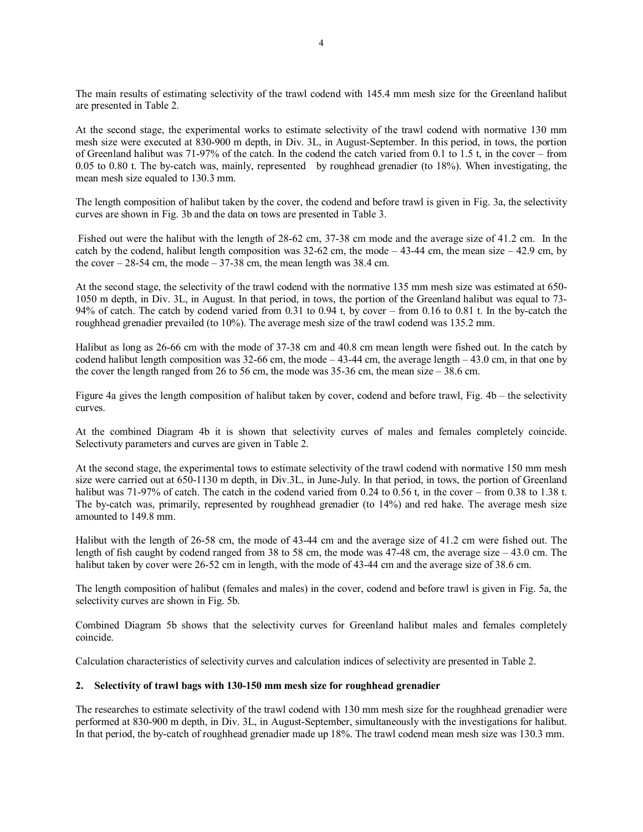The main results of estimating selectivity of the trawl codend with 145.4 mm mesh size for the Greenland halibut are presented in Table 2.

At the second stage, the experimental works to estimate selectivity of the trawl codend with normative 130 mm mesh size were executed at 830-900 m depth, in Div. 3L, in August-September. In this period, in tows, the portion of Greenland halibut was 71-97% of the catch. In the codend the catch varied from 0.1 to 1.5 t, in the cover – from 0.05 to 0.80 t. The by-catch was, mainly, represented by roughhead grenadier (to 18%). When investigating, the mean mesh size equaled to 130.3 mm.

The length composition of halibut taken by the cover, the codend and before trawl is given in Fig. 3a, the selectivity curves are shown in Fig. 3b and the data on tows are presented in Table 3.

 Fished out were the halibut with the length of 28-62 cm, 37-38 cm mode and the average size of 41.2 cm. In the catch by the codend, halibut length composition was  $32-62$  cm, the mode  $-43-44$  cm, the mean size  $-42.9$  cm, by the cover  $-28-54$  cm, the mode  $-37-38$  cm, the mean length was 38.4 cm.

At the second stage, the selectivity of the trawl codend with the normative 135 mm mesh size was estimated at 650- 1050 m depth, in Div. 3L, in August. In that period, in tows, the portion of the Greenland halibut was equal to 73- 94% of catch. The catch by codend varied from  $0.31$  to  $0.94$  t, by cover – from  $0.16$  to  $0.81$  t. In the by-catch the roughhead grenadier prevailed (to 10%). The average mesh size of the trawl codend was 135.2 mm.

Halibut as long as 26-66 cm with the mode of 37-38 cm and 40.8 cm mean length were fished out. In the catch by codend halibut length composition was 32-66 cm, the mode  $-43-44$  cm, the average length  $-43.0$  cm, in that one by the cover the length ranged from 26 to 56 cm, the mode was  $35-36$  cm, the mean size  $-38.6$  cm.

Figure 4a gives the length composition of halibut taken by cover, codend and before trawl, Fig.  $4b -$  the selectivity curves.

At the combined Diagram 4b it is shown that selectivity curves of males and females completely coincide. Selectivuty parameters and curves are given in Table 2.

At the second stage, the experimental tows to estimate selectivity of the trawl codend with normative 150 mm mesh size were carried out at 650-1130 m depth, in Div.3L, in June-July. In that period, in tows, the portion of Greenland halibut was 71-97% of catch. The catch in the codend varied from 0.24 to  $0.56$  t, in the cover – from 0.38 to 1.38 t. The by-catch was, primarily, represented by roughhead grenadier (to 14%) and red hake. The average mesh size amounted to 149.8 mm.

Halibut with the length of 26-58 cm, the mode of 43-44 cm and the average size of 41.2 cm were fished out. The length of fish caught by codend ranged from 38 to 58 cm, the mode was  $47-48$  cm, the average size  $-43.0$  cm. The halibut taken by cover were 26-52 cm in length, with the mode of 43-44 cm and the average size of 38.6 cm.

The length composition of halibut (females and males) in the cover, codend and before trawl is given in Fig. 5a, the selectivity curves are shown in Fig. 5b.

Combined Diagram 5b shows that the selectivity curves for Greenland halibut males and females completely coincide.

Calculation characteristics of selectivity curves and calculation indices of selectivity are presented in Table 2.

## **2. Selectivity of trawl bags with 130-150 mm mesh size for roughhead grenadier**

The researches to estimate selectivity of the trawl codend with 130 mm mesh size for the roughhead grenadier were performed at 830-900 m depth, in Div. 3L, in August-September, simultaneously with the investigations for halibut. In that period, the by-catch of roughhead grenadier made up 18%. The trawl codend mean mesh size was 130.3 mm.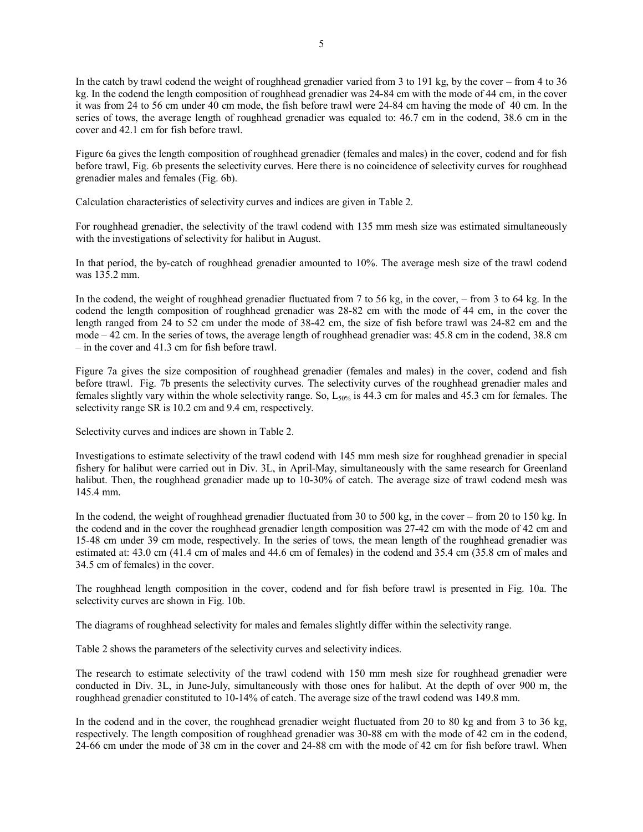In the catch by trawl codend the weight of roughhead grenadier varied from 3 to 191 kg, by the cover  $-$  from 4 to 36 kg. In the codend the length composition of roughhead grenadier was 24-84 cm with the mode of 44 cm, in the cover it was from 24 to 56 cm under 40 cm mode, the fish before trawl were 24-84 cm having the mode of 40 cm. In the series of tows, the average length of roughhead grenadier was equaled to: 46.7 cm in the codend, 38.6 cm in the cover and 42.1 cm for fish before trawl.

Figure 6a gives the length composition of roughhead grenadier (females and males) in the cover, codend and for fish before trawl, Fig. 6b presents the selectivity curves. Here there is no coincidence of selectivity curves for roughhead grenadier males and females (Fig. 6b).

Calculation characteristics of selectivity curves and indices are given in Table 2.

For roughhead grenadier, the selectivity of the trawl codend with 135 mm mesh size was estimated simultaneously with the investigations of selectivity for halibut in August.

In that period, the by-catch of roughhead grenadier amounted to 10%. The average mesh size of the trawl codend was 135.2 mm.

In the codend, the weight of roughhead grenadier fluctuated from  $7$  to  $56$  kg, in the cover,  $-$  from  $3$  to  $64$  kg. In the codend the length composition of roughhead grenadier was 28-82 cm with the mode of 44 cm, in the cover the length ranged from 24 to 52 cm under the mode of 38-42 cm, the size of fish before trawl was 24-82 cm and the mode  $-42$  cm. In the series of tows, the average length of roughhead grenadier was:  $45.8$  cm in the codend,  $38.8$  cm  $\frac{1}{10}$  in the cover and 41.3 cm for fish before trawl.

Figure 7a gives the size composition of roughhead grenadier (females and males) in the cover, codend and fish before ttrawl. Fig. 7b presents the selectivity curves. The selectivity curves of the roughhead grenadier males and females slightly vary within the whole selectivity range. So,  $L_{50\%}$  is 44.3 cm for males and 45.3 cm for females. The selectivity range SR is 10.2 cm and 9.4 cm, respectively.

Selectivity curves and indices are shown in Table 2.

Investigations to estimate selectivity of the trawl codend with 145 mm mesh size for roughhead grenadier in special fishery for halibut were carried out in Div. 3L, in April-May, simultaneously with the same research for Greenland halibut. Then, the roughhead grenadier made up to 10-30% of catch. The average size of trawl codend mesh was 145.4 mm.

In the codend, the weight of roughhead grenadier fluctuated from 30 to 500 kg, in the cover  $-$  from 20 to 150 kg. In the codend and in the cover the roughhead grenadier length composition was 27-42 cm with the mode of 42 cm and 15-48 cm under 39 cm mode, respectively. In the series of tows, the mean length of the roughhead grenadier was estimated at: 43.0 cm (41.4 cm of males and 44.6 cm of females) in the codend and 35.4 cm (35.8 cm of males and 34.5 cm of females) in the cover.

The roughhead length composition in the cover, codend and for fish before trawl is presented in Fig. 10a. The selectivity curves are shown in Fig. 10b.

The diagrams of roughhead selectivity for males and females slightly differ within the selectivity range.

Table 2 shows the parameters of the selectivity curves and selectivity indices.

The research to estimate selectivity of the trawl codend with 150 mm mesh size for roughhead grenadier were conducted in Div. 3L, in June-July, simultaneously with those ones for halibut. At the depth of over 900 m, the roughhead grenadier constituted to 10-14% of catch. The average size of the trawl codend was 149.8 mm.

In the codend and in the cover, the roughhead grenadier weight fluctuated from 20 to 80 kg and from 3 to 36 kg, respectively. The length composition of roughhead grenadier was 30-88 cm with the mode of 42 cm in the codend, 24-66 cm under the mode of 38 cm in the cover and 24-88 cm with the mode of 42 cm for fish before trawl. When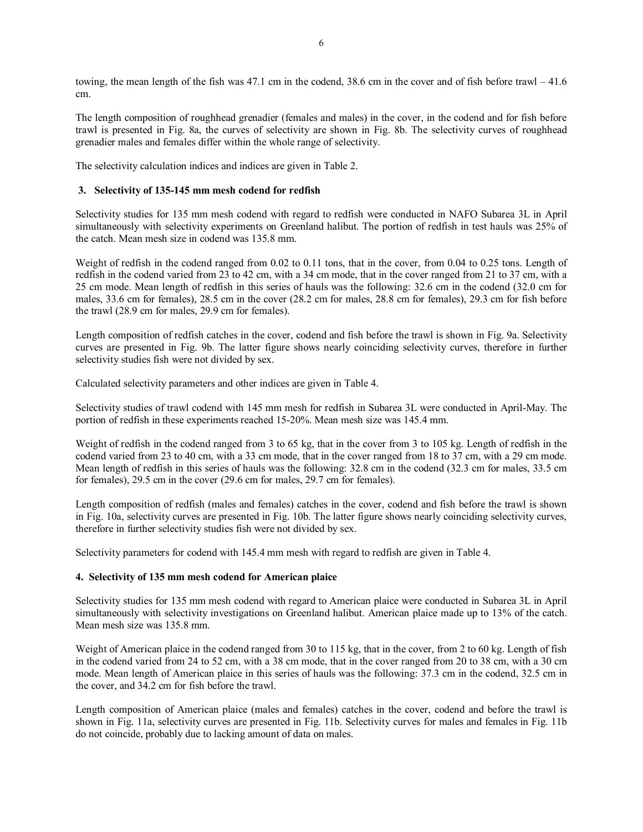towing, the mean length of the fish was 47.1 cm in the codend, 38.6 cm in the cover and of fish before trawl  $-41.6$ cm.

The length composition of roughhead grenadier (females and males) in the cover, in the codend and for fish before trawl is presented in Fig. 8a, the curves of selectivity are shown in Fig. 8b. The selectivity curves of roughhead grenadier males and females differ within the whole range of selectivity.

The selectivity calculation indices and indices are given in Table 2.

## **3. Selectivity of 135-145 mm mesh codend for redfish**

Selectivity studies for 135 mm mesh codend with regard to redfish were conducted in NAFO Subarea 3L in April simultaneously with selectivity experiments on Greenland halibut. The portion of redfish in test hauls was 25% of the catch. Mean mesh size in codend was 135.8 mm.

Weight of redfish in the codend ranged from 0.02 to 0.11 tons, that in the cover, from 0.04 to 0.25 tons. Length of redfish in the codend varied from 23 to 42 cm, with a 34 cm mode, that in the cover ranged from 21 to 37 cm, with a 25 cm mode. Mean length of redfish in this series of hauls was the following: 32.6 cm in the codend (32.0 cm for males, 33.6 cm for females), 28.5 cm in the cover (28.2 cm for males, 28.8 cm for females), 29.3 cm for fish before the trawl (28.9 cm for males, 29.9 cm for females).

Length composition of redfish catches in the cover, codend and fish before the trawl is shown in Fig. 9a. Selectivity curves are presented in Fig. 9b. The latter figure shows nearly coinciding selectivity curves, therefore in further selectivity studies fish were not divided by sex.

Calculated selectivity parameters and other indices are given in Table 4.

Selectivity studies of trawl codend with 145 mm mesh for redfish in Subarea 3L were conducted in April-May. The portion of redfish in these experiments reached 15-20%. Mean mesh size was 145.4 mm.

Weight of redfish in the codend ranged from 3 to 65 kg, that in the cover from 3 to 105 kg. Length of redfish in the codend varied from 23 to 40 cm, with a 33 cm mode, that in the cover ranged from 18 to 37 cm, with a 29 cm mode. Mean length of redfish in this series of hauls was the following: 32.8 cm in the codend (32.3 cm for males, 33.5 cm for females), 29.5 cm in the cover (29.6 cm for males, 29.7 cm for females).

Length composition of redfish (males and females) catches in the cover, codend and fish before the trawl is shown in Fig. 10a, selectivity curves are presented in Fig. 10b. The latter figure shows nearly coinciding selectivity curves, therefore in further selectivity studies fish were not divided by sex.

Selectivity parameters for codend with 145.4 mm mesh with regard to redfish are given in Table 4.

# **4. Selectivity of 135 mm mesh codend for American plaice**

Selectivity studies for 135 mm mesh codend with regard to American plaice were conducted in Subarea 3L in April simultaneously with selectivity investigations on Greenland halibut. American plaice made up to 13% of the catch. Mean mesh size was 135.8 mm.

Weight of American plaice in the codend ranged from 30 to 115 kg, that in the cover, from 2 to 60 kg. Length of fish in the codend varied from 24 to 52 cm, with a 38 cm mode, that in the cover ranged from 20 to 38 cm, with a 30 cm mode. Mean length of American plaice in this series of hauls was the following: 37.3 cm in the codend, 32.5 cm in the cover, and 34.2 cm for fish before the trawl.

Length composition of American plaice (males and females) catches in the cover, codend and before the trawl is shown in Fig. 11a, selectivity curves are presented in Fig. 11b. Selectivity curves for males and females in Fig. 11b do not coincide, probably due to lacking amount of data on males.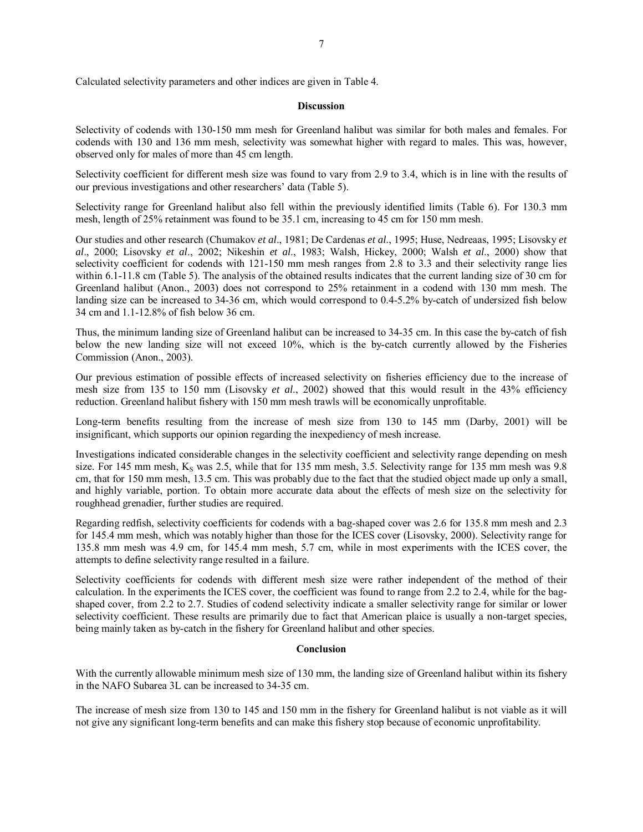### **Discussion**

Selectivity of codends with 130-150 mm mesh for Greenland halibut was similar for both males and females. For codends with 130 and 136 mm mesh, selectivity was somewhat higher with regard to males. This was, however, observed only for males of more than 45 cm length.

Selectivity coefficient for different mesh size was found to vary from 2.9 to 3.4, which is in line with the results of our previous investigations and other researchers' data (Table 5).

Selectivity range for Greenland halibut also fell within the previously identified limits (Table 6). For 130.3 mm mesh, length of 25% retainment was found to be 35.1 cm, increasing to 45 cm for 150 mm mesh.

Our studies and other research (Chumakov *et al*., 1981; De Cardenas *et al*., 1995; Huse, Nedreaas, 1995; Lisovsky *et al*., 2000; Lisovsky *et al*., 2002; Nikeshin *et al*., 1983; Walsh, Hickey, 2000; Walsh *et al*., 2000) show that selectivity coefficient for codends with 121-150 mm mesh ranges from 2.8 to 3.3 and their selectivity range lies within 6.1-11.8 cm (Table 5). The analysis of the obtained results indicates that the current landing size of 30 cm for Greenland halibut (Anon., 2003) does not correspond to 25% retainment in a codend with 130 mm mesh. The landing size can be increased to 34-36 cm, which would correspond to 0.4-5.2% by-catch of undersized fish below 34 cm and 1.1-12.8% of fish below 36 cm.

Thus, the minimum landing size of Greenland halibut can be increased to 34-35 cm. In this case the by-catch of fish below the new landing size will not exceed 10%, which is the by-catch currently allowed by the Fisheries Commission (Anon., 2003).

Our previous estimation of possible effects of increased selectivity on fisheries efficiency due to the increase of mesh size from 135 to 150 mm (Lisovsky *et al*., 2002) showed that this would result in the 43% efficiency reduction. Greenland halibut fishery with 150 mm mesh trawls will be economically unprofitable.

Long-term benefits resulting from the increase of mesh size from 130 to 145 mm (Darby, 2001) will be insignificant, which supports our opinion regarding the inexpediency of mesh increase.

Investigations indicated considerable changes in the selectivity coefficient and selectivity range depending on mesh size. For 145 mm mesh,  $K_S$  was 2.5, while that for 135 mm mesh, 3.5. Selectivity range for 135 mm mesh was 9.8 cm, that for 150 mm mesh, 13.5 cm. This was probably due to the fact that the studied object made up only a small, and highly variable, portion. To obtain more accurate data about the effects of mesh size on the selectivity for roughhead grenadier, further studies are required.

Regarding redfish, selectivity coefficients for codends with a bag-shaped cover was 2.6 for 135.8 mm mesh and 2.3 for 145.4 mm mesh, which was notably higher than those for the ICES cover (Lisovsky, 2000). Selectivity range for 135.8 mm mesh was 4.9 cm, for 145.4 mm mesh, 5.7 cm, while in most experiments with the ICES cover, the attempts to define selectivity range resulted in a failure.

Selectivity coefficients for codends with different mesh size were rather independent of the method of their calculation. In the experiments the ICES cover, the coefficient was found to range from 2.2 to 2.4, while for the bagshaped cover, from 2.2 to 2.7. Studies of codend selectivity indicate a smaller selectivity range for similar or lower selectivity coefficient. These results are primarily due to fact that American plaice is usually a non-target species, being mainly taken as by-catch in the fishery for Greenland halibut and other species.

## **Conclusion**

With the currently allowable minimum mesh size of 130 mm, the landing size of Greenland halibut within its fishery in the NAFO Subarea 3L can be increased to 34-35 cm.

The increase of mesh size from 130 to 145 and 150 mm in the fishery for Greenland halibut is not viable as it will not give any significant long-term benefits and can make this fishery stop because of economic unprofitability.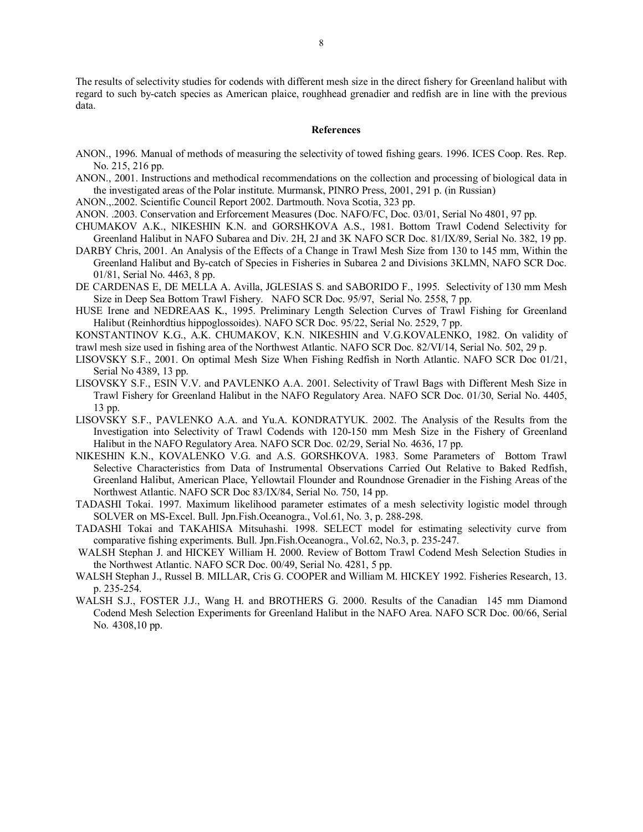The results of selectivity studies for codends with different mesh size in the direct fishery for Greenland halibut with regard to such by-catch species as American plaice, roughhead grenadier and redfish are in line with the previous data.

#### **References**

- ANON., 1996. Manual of methods of measuring the selectivity of towed fishing gears. 1996. ICES Coop. Res. Rep. No. 215, 216 pp.
- ANON., 2001. Instructions and methodical recommendations on the collection and processing of biological data in the investigated areas of the Polar institute. Murmansk, PINRO Press, 2001, 291 p. (in Russian)
- ANON.,.2002. Scientific Council Report 2002. Dartmouth. Nova Scotia, 323 pp.
- ANON. .2003. Conservation and Erforcement Measures (Doc. NAFO/FC, Doc. 03/01, Serial No 4801, 97 pp.
- CHUMAKOV A.K., NIKESHIN K.N. and GORSHKOVA A.S., 1981. Bottom Trawl Codend Selectivity for Greenland Halibut in NAFO Subarea and Div. 2H, 2J and 3K NAFO SCR Doc. 81/IX/89, Serial No. 382, 19 pp.
- DARBY Chris, 2001. An Analysis of the Effects of a Change in Trawl Mesh Size from 130 to 145 mm, Within the Greenland Halibut and By-catch of Species in Fisheries in Subarea 2 and Divisions 3KLMN, NAFO SCR Doc. 01/81, Serial No. 4463, 8 pp.
- DE CARDENAS E, DE MELLA A. Avilla, JGLESIAS S. and SABORIDO F., 1995. Selectivity of 130 mm Mesh Size in Deep Sea Bottom Trawl Fishery. NAFO SCR Doc. 95/97, Serial No. 2558, 7 pp.
- HUSE Irene and NEDREAAS K., 1995. Preliminary Length Selection Curves of Trawl Fishing for Greenland Halibut (Reinhordtius hippoglossoides). NAFO SCR Doc. 95/22, Serial No. 2529, 7 pp.
- KONSTANTINOV K.G., A.K. CHUMAKOV, K.N. NIKESHIN and V.G.KOVALENKO, 1982. On validity of
- trawl mesh size used in fishing area of the Northwest Atlantic. NAFO SCR Doc. 82/VI/14, Serial No. 502, 29 p.
- LISOVSKY S.F., 2001. On optimal Mesh Size When Fishing Redfish in North Atlantic. NAFO SCR Doc 01/21, Serial No 4389, 13 pp.
- LISOVSKY S.F., ESIN V.V. and PAVLENKO A.A. 2001. Selectivity of Trawl Bags with Different Mesh Size in Trawl Fishery for Greenland Halibut in the NAFO Regulatory Area. NAFO SCR Doc. 01/30, Serial No. 4405, 13 pp.
- LISOVSKY S.F., PAVLENKO A.A. and Yu.A. KONDRATYUK. 2002. The Analysis of the Results from the Investigation into Selectivity of Trawl Codends with 120-150 mm Mesh Size in the Fishery of Greenland Halibut in the NAFO Regulatory Area. NAFO SCR Doc. 02/29, Serial No. 4636, 17 pp.
- NIKESHIN K.N., KOVALENKO V.G. and A.S. GORSHKOVA. 1983. Some Parameters of Bottom Trawl Selective Characteristics from Data of Instrumental Observations Carried Out Relative to Baked Redfish, Greenland Halibut, American Place, Yellowtail Flounder and Roundnose Grenadier in the Fishing Areas of the Northwest Atlantic. NAFO SCR Doc 83/IX/84, Serial No. 750, 14 pp.
- TADASHI Tokai. 1997. Maximum likelihood parameter estimates of a mesh selectivity logistic model through SOLVER on MS-Excel. Bull. Jpn.Fish.Oceanogra., Vol.61, No. 3, р. 288-298.
- TADASHI Tokai and TAKAHISA Mitsuhashi. 1998. SELECT model for estimating selectivity curve from comparative fishing experiments. Bull. Jpn.Fish.Oceanogra., Vol.62, No.3, р. 235-247.
- WALSH Stephan J. and HICKEY William H. 2000. Review of Bottom Trawl Codend Mesh Selection Studies in the Northwest Atlantic. NAFO SCR Doc. 00/49, Serial No. 4281, 5 pp.
- WALSH Stephan J., Russel B. MILLAR, Cris G. COOPER and William M. HICKEY 1992. Fisheries Research, 13. p. 235-254.
- WALSH S.J., FOSTER J.J., Wang H. and BROTHERS G. 2000. Results of the Canadian 145 mm Diamond Codend Mesh Selection Experiments for Greenland Halibut in the NAFO Area. NAFO SCR Doc. 00/66, Serial No. 4308,10 pp.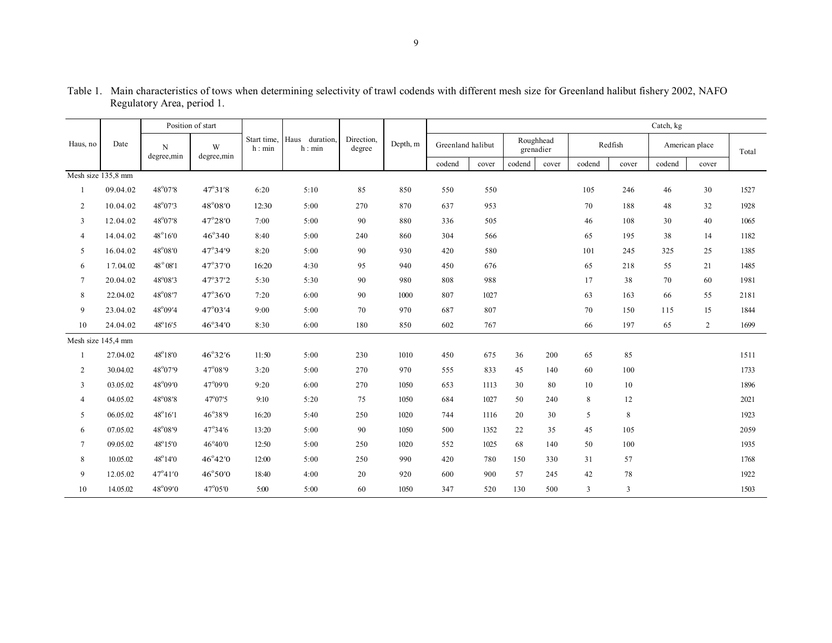|                    |          |                  | Position of start |                       |                          |                      |          |                   |       |                        |       |        |             | Catch, kg |                |       |
|--------------------|----------|------------------|-------------------|-----------------------|--------------------------|----------------------|----------|-------------------|-------|------------------------|-------|--------|-------------|-----------|----------------|-------|
| Haus, no           | Date     | N<br>degree,min  | W<br>degree,min   | Start time,<br>h: min | Haus duration,<br>h: min | Direction,<br>degree | Depth, m | Greenland halibut |       | Roughhead<br>grenadier |       |        | Redfish     |           | American place | Total |
|                    |          |                  |                   |                       |                          |                      |          | codend            | cover | codend                 | cover | codend | cover       | codend    | cover          |       |
| Mesh size 135,8 mm |          |                  |                   |                       |                          |                      |          |                   |       |                        |       |        |             |           |                |       |
|                    | 09.04.02 | $48^{\circ}07'8$ | $47^{\circ}31'8$  | 6:20                  | 5:10                     | 85                   | 850      | 550               | 550   |                        |       | 105    | 246         | 46        | 30             | 1527  |
| $\overline{2}$     | 10.04.02 | $48^{\circ}07'3$ | 48°08′0           | 12:30                 | 5:00                     | 270                  | 870      | 637               | 953   |                        |       | 70     | 188         | 48        | 32             | 1928  |
| 3                  | 12.04.02 | 48°07'8          | 47°28′0           | 7:00                  | 5:00                     | 90                   | 880      | 336               | 505   |                        |       | 46     | 108         | 30        | 40             | 1065  |
| $\overline{4}$     | 14.04.02 | $48^\circ 16'0$  | $46^{\circ}340$   | 8:40                  | 5:00                     | 240                  | 860      | 304               | 566   |                        |       | 65     | 195         | 38        | 14             | 1182  |
| 5                  | 16.04.02 | $48^{\circ}08'0$ | $47^{\circ}34'9$  | 8:20                  | 5:00                     | 90                   | 930      | 420               | 580   |                        |       | 101    | 245         | 325       | 25             | 1385  |
| 6                  | 17.04.02 | $48^{\circ}08'1$ | $47^{\circ}37'0$  | 16:20                 | 4:30                     | 95                   | 940      | 450               | 676   |                        |       | 65     | 218         | 55        | 21             | 1485  |
| $\tau$             | 20.04.02 | 48°08'3          | 47°37'2           | 5:30                  | 5:30                     | 90                   | 980      | 808               | 988   |                        |       | 17     | 38          | 70        | 60             | 1981  |
| 8                  | 22.04.02 | 48°08'7          | 47°36′0           | 7:20                  | 6:00                     | 90                   | 1000     | 807               | 1027  |                        |       | 63     | 163         | 66        | 55             | 2181  |
| 9                  | 23.04.02 | $48^{\circ}09'4$ | $47^{\circ}03'4$  | 9:00                  | 5:00                     | 70                   | 970      | 687               | 807   |                        |       | 70     | 150         | 115       | 15             | 1844  |
| 10                 | 24.04.02 | 48°16'5          | $46^{\circ}34'0$  | 8:30                  | 6:00                     | 180                  | 850      | 602               | 767   |                        |       | 66     | 197         | 65        | $\overline{c}$ | 1699  |
| Mesh size 145,4 mm |          |                  |                   |                       |                          |                      |          |                   |       |                        |       |        |             |           |                |       |
|                    | 27.04.02 | 48°18′0          | 46°32'6           | 11:50                 | 5:00                     | 230                  | 1010     | 450               | 675   | 36                     | 200   | 65     | 85          |           |                | 1511  |
| 2                  | 30.04.02 | $48^{\circ}07'9$ | $47^{\circ}08'9$  | 3:20                  | 5:00                     | 270                  | 970      | 555               | 833   | 45                     | 140   | 60     | 100         |           |                | 1733  |
| 3                  | 03.05.02 | 48°09′0          | 47°09′0           | 9:20                  | 6:00                     | 270                  | 1050     | 653               | 1113  | 30                     | 80    | 10     | 10          |           |                | 1896  |
| $\overline{4}$     | 04.05.02 | $48^{\circ}08'8$ | $47^{\circ}07'5$  | 9:10                  | 5:20                     | 75                   | 1050     | 684               | 1027  | 50                     | 240   | 8      | 12          |           |                | 2021  |
| 5                  | 06.05.02 | $48^{\circ}16'1$ | 46°38'9           | 16:20                 | 5:40                     | 250                  | 1020     | 744               | 1116  | 20                     | 30    | 5      | $\,$ 8 $\,$ |           |                | 1923  |
| 6                  | 07.05.02 | 48°08'9          | 47°34'6           | 13:20                 | 5:00                     | 90                   | 1050     | 500               | 1352  | 22                     | 35    | 45     | 105         |           |                | 2059  |
| $\tau$             | 09.05.02 | 48°15′0          | 46°40'0           | 12:50                 | 5:00                     | 250                  | 1020     | 552               | 1025  | 68                     | 140   | 50     | 100         |           |                | 1935  |
| 8                  | 10.05.02 | $48^{\circ}14'0$ | $46^{\circ}42'0$  | 12:00                 | 5:00                     | 250                  | 990      | 420               | 780   | 150                    | 330   | 31     | 57          |           |                | 1768  |
| 9                  | 12.05.02 | $47^{\circ}41'0$ | $46^{\circ}50'0$  | 18:40                 | 4:00                     | 20                   | 920      | 600               | 900   | 57                     | 245   | 42     | 78          |           |                | 1922  |
| 10                 | 14.05.02 | 48°09'0          | 47°05'0           | 5:00                  | 5:00                     | 60                   | 1050     | 347               | 520   | 130                    | 500   | 3      | 3           |           |                | 1503  |

Table 1. Main characteristics of tows when determining selectivity of trawl codends with different mesh size for Greenland halibut fishery 2002, NAFO Regulatory Area, period 1.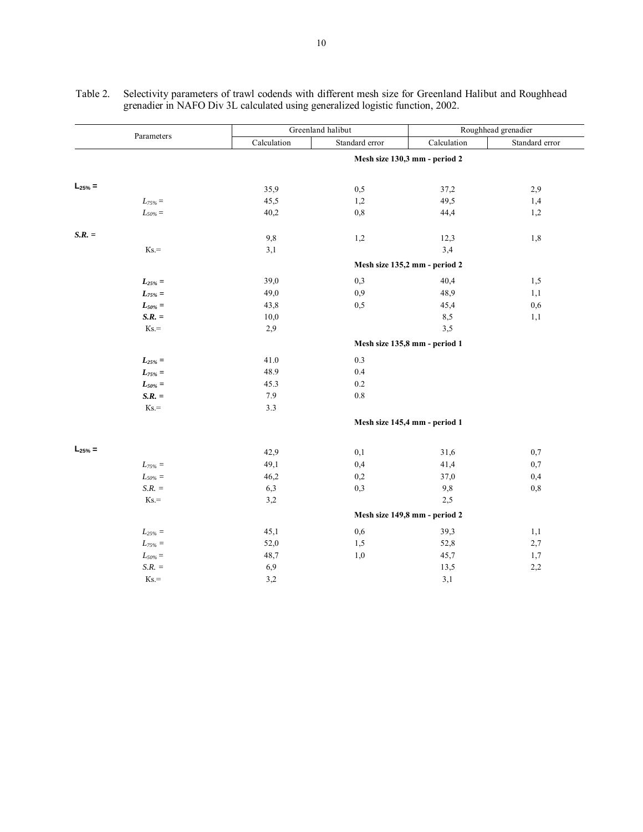|              | Parameters     |                               | Greenland halibut | Roughhead grenadier           |                |  |  |  |  |  |  |  |
|--------------|----------------|-------------------------------|-------------------|-------------------------------|----------------|--|--|--|--|--|--|--|
|              |                | Calculation                   | Standard error    | Calculation                   | Standard error |  |  |  |  |  |  |  |
|              |                | Mesh size 130,3 mm - period 2 |                   |                               |                |  |  |  |  |  |  |  |
| $L_{25\%} =$ |                | 35,9                          | 0,5               | 37,2                          | 2,9            |  |  |  |  |  |  |  |
|              | $L_{75\%}$ $=$ | 45,5                          | 1,2               | 49,5                          | 1,4            |  |  |  |  |  |  |  |
|              | $L_{50\%} =$   | 40,2                          | 0,8               | 44,4                          | 1,2            |  |  |  |  |  |  |  |
| $S.R. =$     |                | $9,8$                         | 1,2               | 12,3                          | 1,8            |  |  |  |  |  |  |  |
|              | $Ks =$         | 3,1                           |                   | 3,4                           |                |  |  |  |  |  |  |  |
|              |                |                               |                   | Mesh size 135,2 mm - period 2 |                |  |  |  |  |  |  |  |
|              | $L_{25\%}$ =   | 39,0                          | 0,3               | 40,4                          | 1,5            |  |  |  |  |  |  |  |
|              | $L_{75\%}$ =   | 49,0                          | 0,9               | 48,9                          | 1,1            |  |  |  |  |  |  |  |
|              | $L_{50\%} =$   | 43,8                          | 0,5               | 45,4                          | 0,6            |  |  |  |  |  |  |  |
|              | $S.R. =$       | 10,0                          |                   | 8,5                           | 1,1            |  |  |  |  |  |  |  |
|              | $Ks =$         | 2,9                           |                   | 3,5                           |                |  |  |  |  |  |  |  |
|              |                | Mesh size 135,8 mm - period 1 |                   |                               |                |  |  |  |  |  |  |  |
|              | $L_{25\%} =$   | 41.0                          | 0.3               |                               |                |  |  |  |  |  |  |  |
|              | $L_{75\%}$ =   | 48.9                          | 0.4               |                               |                |  |  |  |  |  |  |  |
|              | $L_{50\%}$ =   | 45.3                          | $0.2\,$           |                               |                |  |  |  |  |  |  |  |
|              | $S.R. =$       | 7.9                           | $0.8\,$           |                               |                |  |  |  |  |  |  |  |
|              | $Ks =$         | $3.3$                         |                   |                               |                |  |  |  |  |  |  |  |
|              |                |                               |                   | Mesh size 145,4 mm - period 1 |                |  |  |  |  |  |  |  |
| $L_{25\%} =$ |                | 42,9                          | 0,1               | 31,6                          | 0,7            |  |  |  |  |  |  |  |
|              | $L_{75\%} =$   | 49,1                          | 0,4               | 41,4                          | 0,7            |  |  |  |  |  |  |  |
|              | $L_{50\%} =$   | 46,2                          | 0,2               | 37,0                          | 0,4            |  |  |  |  |  |  |  |
|              | $S.R. =$       | 6,3                           | 0,3               | 9,8                           | 0,8            |  |  |  |  |  |  |  |
|              | $Ks =$         | 3,2                           |                   | 2,5                           |                |  |  |  |  |  |  |  |
|              |                |                               |                   | Mesh size 149,8 mm - period 2 |                |  |  |  |  |  |  |  |
|              | $L_{25\%} =$   | 45,1                          | 0,6               | 39,3                          | 1,1            |  |  |  |  |  |  |  |
|              | $L_{75\%} =$   | 52,0                          | 1,5               | 52,8                          | 2,7            |  |  |  |  |  |  |  |
|              | $L_{50\%} =$   | 48,7                          | 1,0               | 45,7                          | 1,7            |  |  |  |  |  |  |  |
|              | $S.R. =$       | 6,9                           |                   | 13,5                          | 2,2            |  |  |  |  |  |  |  |
|              | $Ks =$         | 3,2                           |                   | 3,1                           |                |  |  |  |  |  |  |  |

Таble 2. Selectivity parameters of trawl codends with different mesh size for Greenland Halibut and Roughhead grenadier in NAFO Div 3L calculated using generalized logistic function, 2002.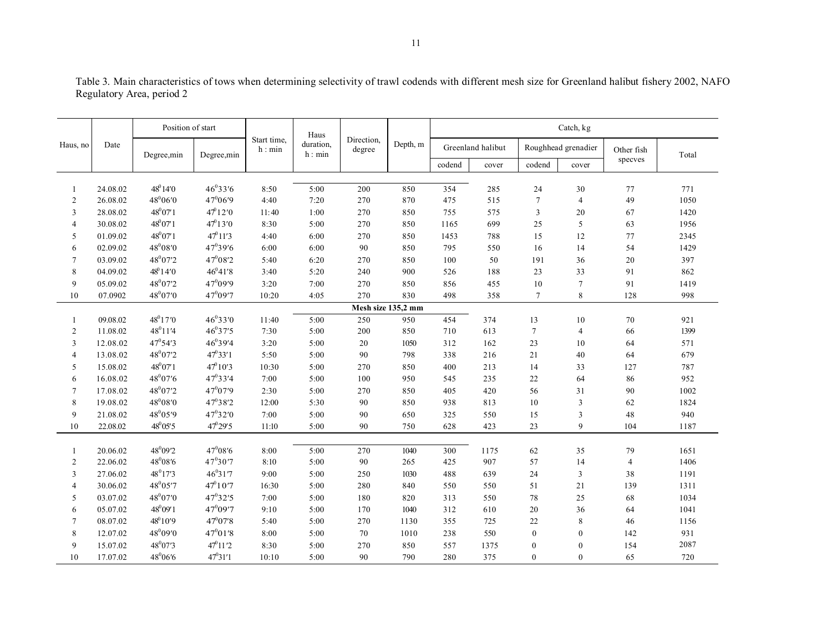| Position of start<br>Haus                                                                                                                                                     | Catch, kg      |       |  |  |  |  |  |
|-------------------------------------------------------------------------------------------------------------------------------------------------------------------------------|----------------|-------|--|--|--|--|--|
| Direction,<br>Start time,<br>duration,<br>Depth, m<br>Date<br>Haus, no<br>Greenland halibut<br>Roughhead grenadier<br>h: min<br>degree<br>h: min<br>Degree,min<br>Degree, min | Other fish     | Total |  |  |  |  |  |
| codend<br>codend<br>cover<br>cover                                                                                                                                            | specves        |       |  |  |  |  |  |
|                                                                                                                                                                               |                |       |  |  |  |  |  |
| $48^014'0$<br>46°33'6<br>354<br>5:00<br>200<br>850<br>24.08.02<br>8:50<br>285<br>24<br>30<br>1                                                                                | 77             | 771   |  |  |  |  |  |
| 47°06′9<br>480660<br>4:40<br>$\overline{7}$<br>$\overline{c}$<br>26.08.02<br>7:20<br>270<br>870<br>475<br>515<br>$\overline{4}$                                               | 49             | 1050  |  |  |  |  |  |
| $47^{\circ}12'0$<br>48°07′1<br>$\ensuremath{\mathfrak{Z}}$<br>3<br>28.08.02<br>11:40<br>1:00<br>270<br>850<br>755<br>575<br>20                                                | 67             | 1420  |  |  |  |  |  |
| $47^{\circ}13'0$<br>$48^{0}07'1$<br>30.08.02<br>8:30<br>5:00<br>270<br>850<br>1165<br>699<br>5<br>$\overline{4}$<br>25                                                        | 63             | 1956  |  |  |  |  |  |
| $47^{\circ}11'3$<br>$48^007'1$<br>4:40<br>12<br>5<br>01.09.02<br>6:00<br>270<br>850<br>1453<br>788<br>15                                                                      | 77             | 2345  |  |  |  |  |  |
| $48^008'0$<br>47°39'6<br>6:00<br>6<br>02.09.02<br>6:00<br>90<br>850<br>795<br>550<br>16<br>14                                                                                 | 54             | 1429  |  |  |  |  |  |
| $47^{0}08'2$<br>48°07'2<br>$\overline{7}$<br>5:40<br>50<br>191<br>03.09.02<br>6:20<br>270<br>850<br>100<br>36                                                                 | 20             | 397   |  |  |  |  |  |
| $48^014'0$<br>$46^{0}41'8$<br>8<br>04.09.02<br>3:40<br>5:20<br>240<br>900<br>526<br>188<br>33<br>23                                                                           | 91             | 862   |  |  |  |  |  |
| 48°07'2<br>47°09'9<br>9<br>05.09.02<br>3:20<br>7:00<br>270<br>850<br>856<br>455<br>10<br>$\tau$                                                                               | 91             | 1419  |  |  |  |  |  |
| 48°07'0<br>47°09'7<br>10:20<br>830<br>358<br>8<br>10<br>07.0902<br>4:05<br>270<br>498<br>$\tau$                                                                               | 128            | 998   |  |  |  |  |  |
| Mesh size 135,2 mm                                                                                                                                                            |                |       |  |  |  |  |  |
| 48°17′0<br>46°33'0<br>454<br>11:40<br>5:00<br>250<br>950<br>374<br>09.08.02<br>13<br>10<br>1                                                                                  | $70\,$         | 921   |  |  |  |  |  |
| 46°37'5<br>$48^011'4$<br>7:30<br>$\overline{c}$<br>11.08.02<br>5:00<br>200<br>850<br>710<br>613<br>$7\phantom{.0}$<br>$\overline{4}$                                          | 66             | 1399  |  |  |  |  |  |
| $46^{0}39'4$<br>$47^{\circ}54'3$<br>3<br>3:20<br>162<br>23<br>12.08.02<br>5:00<br>$20\,$<br>1050<br>312<br>10                                                                 | 64             | 571   |  |  |  |  |  |
| $47^033'1$<br>48°07'2<br>13.08.02<br>5:50<br>5:00<br>90<br>338<br>21<br>$\overline{4}$<br>798<br>216<br>40                                                                    | 64             | 679   |  |  |  |  |  |
| $47^{\circ}10'3$<br>48°07′1<br>5<br>15.08.02<br>10:30<br>5:00<br>270<br>850<br>400<br>213<br>14<br>33                                                                         | 127            | 787   |  |  |  |  |  |
| 48°07'6<br>$47^{0}33'4$<br>7:00<br>6<br>16.08.02<br>5:00<br>100<br>950<br>545<br>235<br>22<br>64                                                                              | 86             | 952   |  |  |  |  |  |
| 47°07'9<br>48°07'2<br>17.08.02<br>2:30<br>5:00<br>56<br>31<br>$\overline{7}$<br>270<br>850<br>405<br>420                                                                      | 90             | 1002  |  |  |  |  |  |
| 47°38'2<br>48008'0<br>8<br>19.08.02<br>12:00<br>5:30<br>90<br>813<br>10<br>$\overline{3}$<br>850<br>938                                                                       | 62             | 1824  |  |  |  |  |  |
| 48°05'9<br>47°32′0<br>9<br>21.08.02<br>7:00<br>5:00<br>90<br>650<br>325<br>15<br>3<br>550                                                                                     | 48             | 940   |  |  |  |  |  |
| $47^{\circ}29^{\prime}5$<br>$48^{0}05'5$<br>9<br>10<br>22.08.02<br>11:10<br>5:00<br>90<br>750<br>628<br>423<br>23                                                             | 104            | 1187  |  |  |  |  |  |
|                                                                                                                                                                               |                |       |  |  |  |  |  |
| 480992<br>$47^{0}08'6$<br>5:00<br>1040<br>20.06.02<br>8:00<br>270<br>300<br>62<br>1175<br>35<br>1                                                                             | 79             | 1651  |  |  |  |  |  |
| 47°30'7<br>$48^{0}08'6$<br>$\mathfrak{2}$<br>22.06.02<br>8:10<br>5:00<br>90<br>425<br>907<br>57<br>14<br>265                                                                  | $\overline{4}$ | 1406  |  |  |  |  |  |
| $46^{0}31'7$<br>48°17'3<br>3<br>27.06.02<br>9:00<br>5:00<br>250<br>1030<br>488<br>639<br>24<br>3                                                                              | 38             | 1191  |  |  |  |  |  |
| $47^010'7$<br>48°05'7<br>16:30<br>51<br>21<br>$\overline{4}$<br>30.06.02<br>5:00<br>280<br>840<br>550<br>550                                                                  | 139            | 1311  |  |  |  |  |  |
| 47°32'5<br>48°07'0<br>03.07.02<br>7:00<br>5:00<br>180<br>820<br>313<br>78<br>25<br>5<br>550                                                                                   | 68             | 1034  |  |  |  |  |  |
| $48^{0}09'1$<br>47°09'7<br>05.07.02<br>9:10<br>5:00<br>1040<br>312<br>610<br>20<br>36<br>6<br>170                                                                             | 64             | 1041  |  |  |  |  |  |
| $48^010'9$<br>47°07'8<br>8<br>$\tau$<br>08.07.02<br>5:40<br>5:00<br>270<br>1130<br>355<br>725<br>22                                                                           | 46             | 1156  |  |  |  |  |  |
| $47^{0}01'8$<br>48 <sup>0</sup> 09'0<br>8<br>8:00<br>550<br>12.07.02<br>5:00<br>70<br>1010<br>238<br>$\mathbf{0}$<br>$\overline{0}$                                           | 142            | 931   |  |  |  |  |  |
| $47^011'2$<br>48°07'3<br>9<br>8:30<br>5:00<br>557<br>15.07.02<br>270<br>850<br>1375<br>$\boldsymbol{0}$<br>$\mathbf{0}$                                                       | 154            | 2087  |  |  |  |  |  |
| $47^031'1$<br>48066<br>10<br>10:10<br>5:00<br>90<br>790<br>280<br>375<br>17.07.02<br>$\theta$<br>$\theta$                                                                     | 65             | 720   |  |  |  |  |  |

Таble 3. Main characteristics of tows when determining selectivity of trawl codends with different mesh size for Greenland halibut fishery 2002, NAFO Regulatory Area, period 2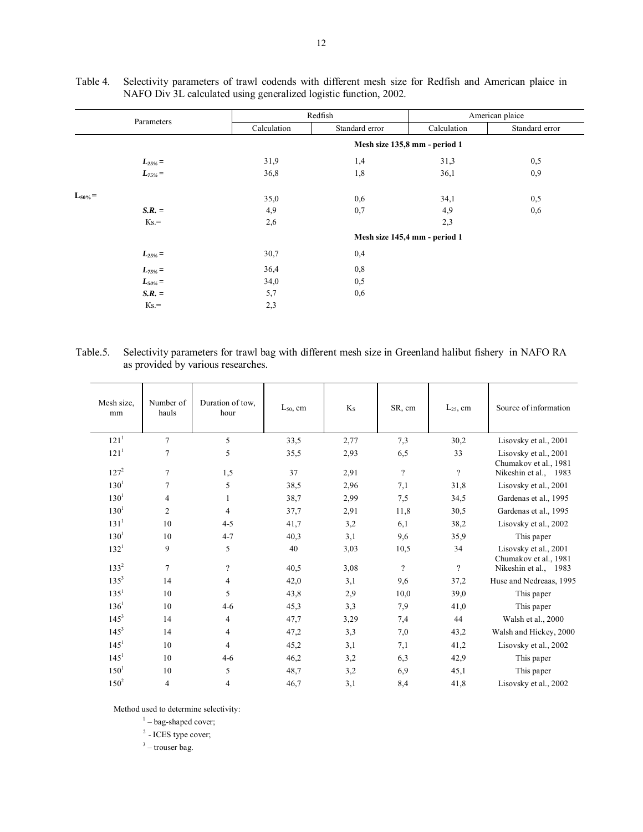| Parameters                   |             | Redfish                       | American plaice               |                |  |  |  |  |  |  |  |
|------------------------------|-------------|-------------------------------|-------------------------------|----------------|--|--|--|--|--|--|--|
|                              | Calculation | Standard error                | Calculation                   | Standard error |  |  |  |  |  |  |  |
|                              |             | Mesh size 135,8 mm - period 1 |                               |                |  |  |  |  |  |  |  |
|                              | 31,9        | 1,4                           | 31,3                          | 0,5            |  |  |  |  |  |  |  |
| $L_{25\%}$ =<br>$L_{75\%}$ = | 36,8        | 1,8                           | 36,1                          | 0,9            |  |  |  |  |  |  |  |
| $L_{50\%} =$                 | 35,0        | 0,6                           | 34,1                          | 0,5            |  |  |  |  |  |  |  |
| $S.R. =$                     | 4,9         | 0,7                           | 4,9                           | 0,6            |  |  |  |  |  |  |  |
| $Ks =$                       | 2,6         |                               | 2,3                           |                |  |  |  |  |  |  |  |
|                              |             |                               | Mesh size 145,4 mm - period 1 |                |  |  |  |  |  |  |  |
| $L_{25\%} =$                 | 30,7        | 0,4                           |                               |                |  |  |  |  |  |  |  |
| $L_{75\%} =$                 | 36,4        | 0,8                           |                               |                |  |  |  |  |  |  |  |
| $L_{50\%}$ =                 | 34,0        | 0,5                           |                               |                |  |  |  |  |  |  |  |
| $S.R. =$                     | 5,7         | 0,6                           |                               |                |  |  |  |  |  |  |  |
| $Ks =$                       | 2,3         |                               |                               |                |  |  |  |  |  |  |  |

Таble 4. Selectivity parameters of trawl codends with different mesh size for Redfish and American plaice in NAFO Div 3L calculated using generalized logistic function, 2002.

Table.5. Selectivity parameters for trawl bag with different mesh size in Greenland halibut fishery in NAFO RA as provided by various researches.

| Mesh size,<br>mm | Number of<br>hauls | Duration of tow.<br>hour | $L_{50}$ , cm | $K_{S}$ | SR, cm                   | $L_{25}$ , cm | Source of information                          |
|------------------|--------------------|--------------------------|---------------|---------|--------------------------|---------------|------------------------------------------------|
| 121 <sup>1</sup> | $\overline{7}$     | 5                        | 33,5          | 2,77    | 7,3                      | 30,2          | Lisovsky et al., 2001                          |
| 121 <sup>1</sup> | $\overline{7}$     | 5                        | 35,5          | 2,93    | 6,5                      | 33            | Lisovsky et al., 2001<br>Chumakov et al., 1981 |
| $127^2$          | $\overline{7}$     | 1,5                      | 37            | 2,91    | $\overline{\mathcal{L}}$ | $\gamma$      | Nikeshin et al., 1983                          |
| $130^1$          | $\overline{7}$     | 5                        | 38,5          | 2,96    | 7,1                      | 31,8          | Lisovsky et al., 2001                          |
| $130^1$          | 4                  | 1                        | 38,7          | 2,99    | 7,5                      | 34,5          | Gardenas et al., 1995                          |
| $130^{1}$        | $\overline{c}$     | $\overline{\mathbf{4}}$  | 37,7          | 2.91    | 11,8                     | 30,5          | Gardenas et al., 1995                          |
| 131 <sup>1</sup> | 10                 | $4 - 5$                  | 41,7          | 3,2     | 6,1                      | 38,2          | Lisovsky et al., 2002                          |
| $130^{1}$        | 10                 | $4 - 7$                  | 40,3          | 3,1     | 9,6                      | 35,9          | This paper                                     |
| $132^1$          | 9                  | 5                        | 40            | 3,03    | 10,5                     | 34            | Lisovsky et al., 2001<br>Chumakov et al., 1981 |
| $133^2$          | $\overline{7}$     | $\gamma$                 | 40,5          | 3,08    | $\gamma$                 | $\gamma$      | Nikeshin et al., 1983                          |
| $135^{3}$        | 14                 | $\overline{4}$           | 42,0          | 3,1     | 9,6                      | 37,2          | Huse and Nedreaas, 1995                        |
| $135^1$          | 10                 | 5                        | 43,8          | 2,9     | 10,0                     | 39,0          | This paper                                     |
| $136^1$          | 10                 | $4-6$                    | 45,3          | 3,3     | 7,9                      | 41,0          | This paper                                     |
| $145^3$          | 14                 | $\overline{4}$           | 47,7          | 3,29    | 7,4                      | 44            | Walsh et al., 2000                             |
| $145^3$          | 14                 | $\overline{4}$           | 47,2          | 3,3     | 7,0                      | 43,2          | Walsh and Hickey, 2000                         |
| 145 <sup>1</sup> | 10                 | 4                        | 45,2          | 3,1     | 7,1                      | 41,2          | Lisovsky et al., 2002                          |
| 145 <sup>1</sup> | 10                 | $4-6$                    | 46,2          | 3,2     | 6,3                      | 42,9          | This paper                                     |
| $150^1$          | 10                 | 5                        | 48,7          | 3,2     | 6,9                      | 45,1          | This paper                                     |
| $150^2$          | 4                  | 4                        | 46,7          | 3,1     | 8,4                      | 41,8          | Lisovsky et al., 2002                          |
|                  |                    |                          |               |         |                          |               |                                                |

Method used to determine selectivity:<br> $1 - \text{bag-shaped cover};$ 

<sup>2</sup> - ICES type cover;

 $3$  – trouser bag.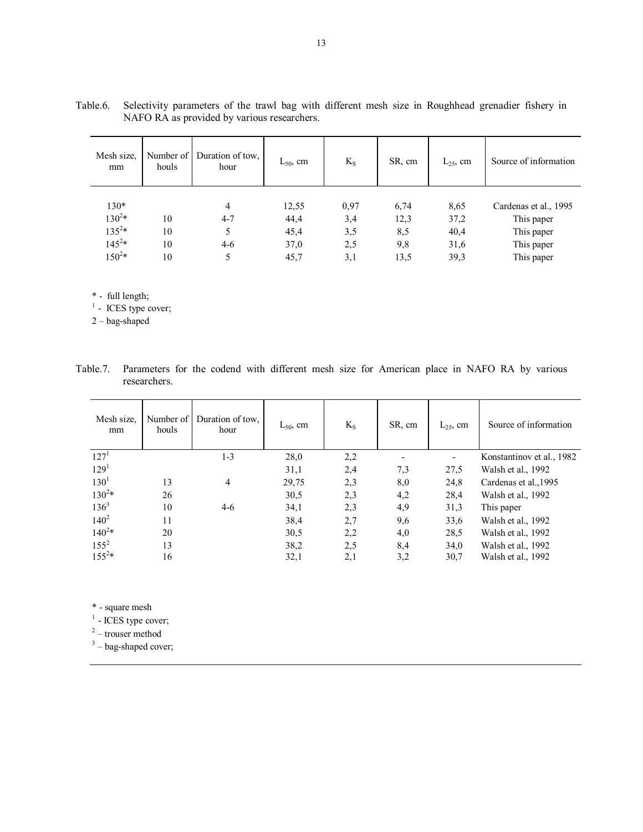| Mesh size.<br>mm | Number of<br>houls | Duration of tow.<br>hour | $L_{50}$ , cm | $K_S$ | SR, cm | $L_{25}$ , cm | Source of information |
|------------------|--------------------|--------------------------|---------------|-------|--------|---------------|-----------------------|
| $130*$           |                    | 4                        | 12,55         | 0,97  | 6,74   | 8,65          | Cardenas et al., 1995 |
| $130^{2*}$       | 10                 | $4 - 7$                  | 44,4          | 3,4   | 12,3   | 37,2          | This paper            |
| $135^{2*}$       | 10                 | 5                        | 45,4          | 3,5   | 8,5    | 40,4          | This paper            |
| $145^{2*}$       | 10                 | $4-6$                    | 37,0          | 2,5   | 9,8    | 31,6          | This paper            |
| $150^{2*}$       | 10                 | 5                        | 45,7          | 3,1   | 13,5   | 39,3          | This paper            |

Table.6. Selectivity parameters of the trawl bag with different mesh size in Roughhead grenadier fishery in NAFO RA as provided by various researchers.

\* - full length;

 $<sup>1</sup>$  - ICES type cover;</sup>

 $2 - \text{bag-shaped}$ 

| Table.7. Parameters for the codend with different mesh size for American place in NAFO RA by various |  |  |  |  |  |  |  |  |
|------------------------------------------------------------------------------------------------------|--|--|--|--|--|--|--|--|
| researchers.                                                                                         |  |  |  |  |  |  |  |  |

| Mesh size.<br>mm | Number of<br>houls | Duration of tow.<br>hour | $L_{50}$ , cm | $K_{S}$ | SR, cm | $L_{25}$ , cm | Source of information     |
|------------------|--------------------|--------------------------|---------------|---------|--------|---------------|---------------------------|
| 127 <sup>1</sup> |                    | $1 - 3$                  | 28,0          | 2,2     |        | ۰             | Konstantinov et al., 1982 |
| 129 <sup>1</sup> |                    |                          | 31,1          | 2,4     | 7,3    | 27,5          | Walsh et al., 1992        |
| $130^{1}$        | 13                 | 4                        | 29,75         | 2,3     | 8,0    | 24,8          | Cardenas et al., 1995     |
| $130^{2*}$       | 26                 |                          | 30,5          | 2,3     | 4,2    | 28,4          | Walsh et al., 1992        |
| $136^3$          | 10                 | 4-6                      | 34,1          | 2,3     | 4,9    | 31,3          | This paper                |
| $140^{2}$        | 11                 |                          | 38,4          | 2,7     | 9,6    | 33,6          | Walsh et al., 1992        |
| $140^{2*}$       | 20                 |                          | 30,5          | 2,2     | 4,0    | 28,5          | Walsh et al., 1992        |
| $155^2$          | 13                 |                          | 38,2          | 2,5     | 8,4    | 34,0          | Walsh et al., 1992        |
| $155^{2*}$       | 16                 |                          | 32,1          | 2,1     | 3,2    | 30,7          | Walsh et al., 1992        |

\* - square mesh

 $<sup>1</sup>$  - ICES type cover;</sup>

 $2 -$  trouser method

 $3 -$  bag-shaped cover;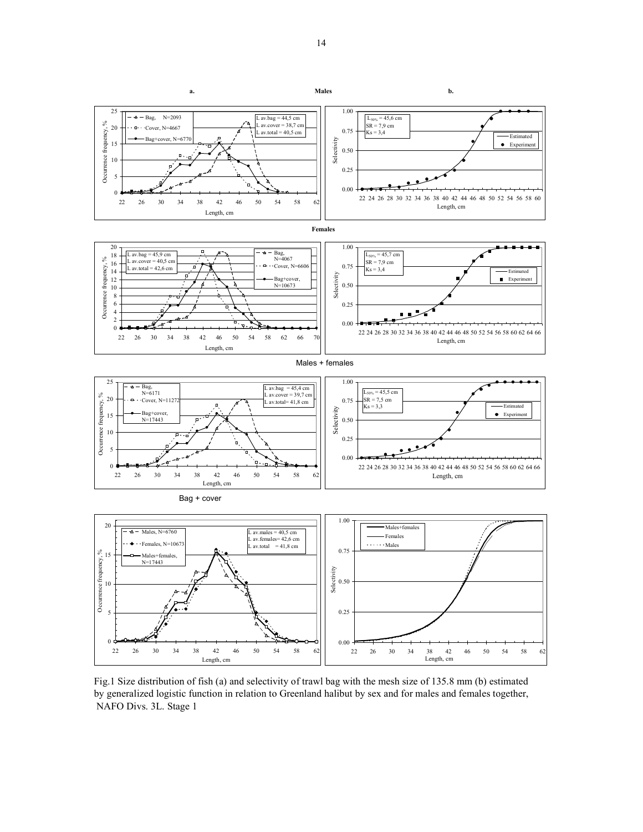

Fig.1 Size distribution of fish (a) and selectivity of trawl bag with the mesh size of 135.8 mm (b) estimated by generalized logistic function in relation to Greenland halibut by sex and for males and females together, NAFO Divs. 3L. Stage 1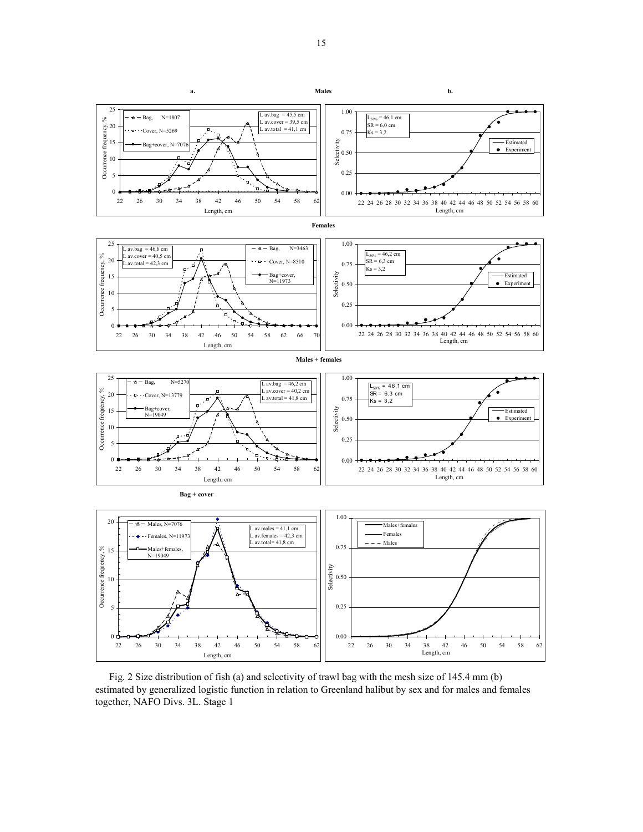

Fig. 2 Size distribution of fish (a) and selectivity of trawl bag with the mesh size of 145.4 mm (b) estimated by generalized logistic function in relation to Greenland halibut by sex and for males and females together, NAFO Divs. 3L. Stage 1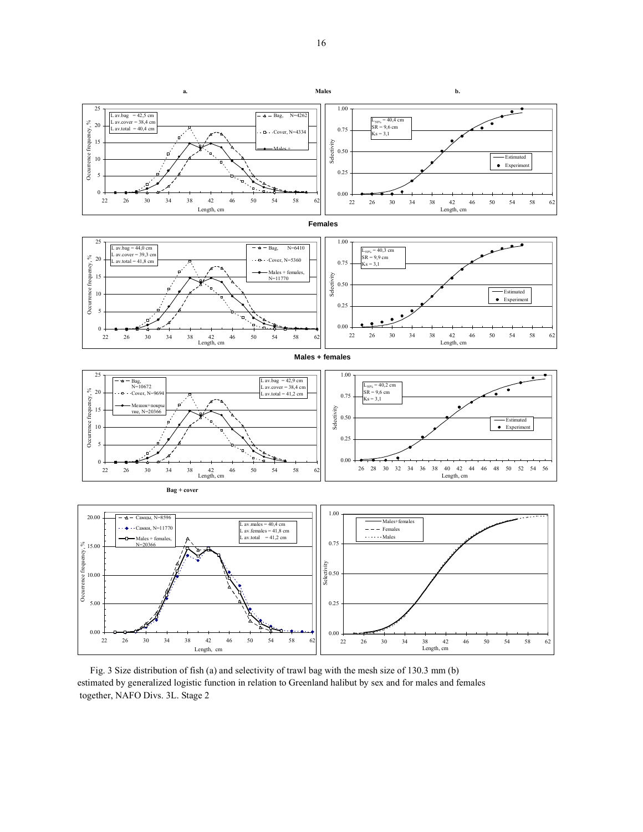

Fig. 3 Size distribution of fish (a) and selectivity of trawl bag with the mesh size of 130.3 mm (b) estimated by generalized logistic function in relation to Greenland halibut by sex and for males and females together, NAFO Divs. 3L. Stage 2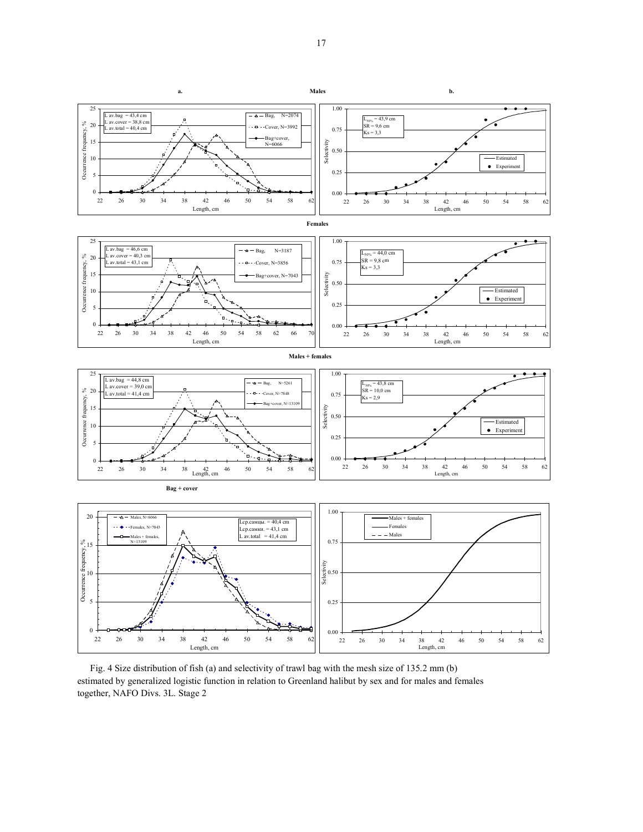

Fig. 4 Size distribution of fish (a) and selectivity of trawl bag with the mesh size of 135.2 mm (b) estimated by generalized logistic function in relation to Greenland halibut by sex and for males and females together, NAFO Divs. 3L. Stage 2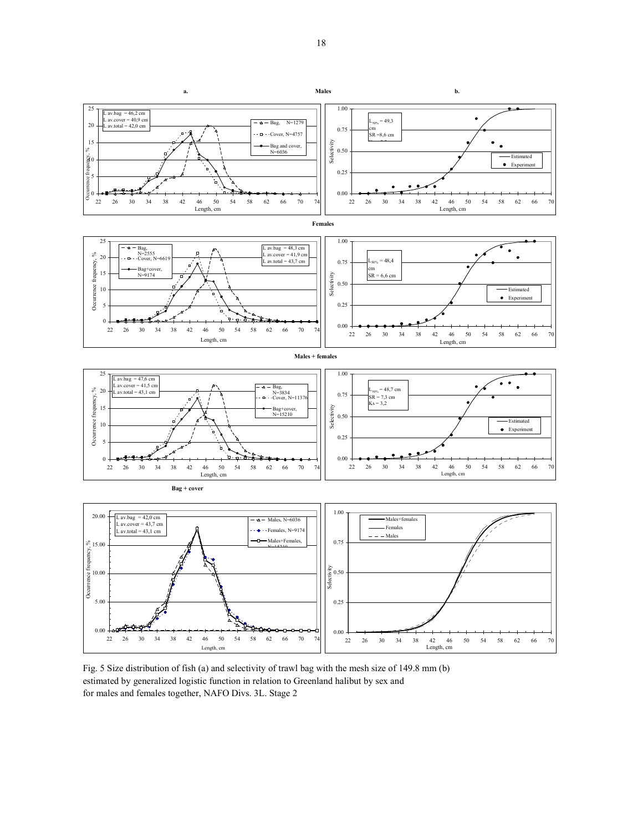

Fig. 5 Size distribution of fish (a) and selectivity of trawl bag with the mesh size of 149.8 mm (b) estimated by generalized logistic function in relation to Greenland halibut by sex and for males and females together, NAFO Divs. 3L. Stage 2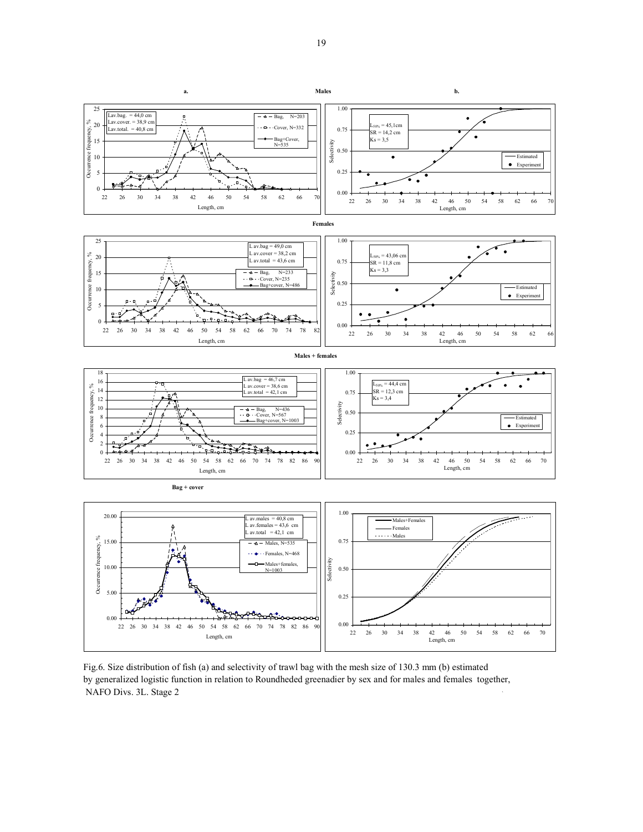

Fig.6. Size distribution of fish (a) and selectivity of trawl bag with the mesh size of 130.3 mm (b) estimated by generalized logistic function in relation to Roundheded greenadier by sex and for males and females together, NAFO Divs. 3L. Stage 2 `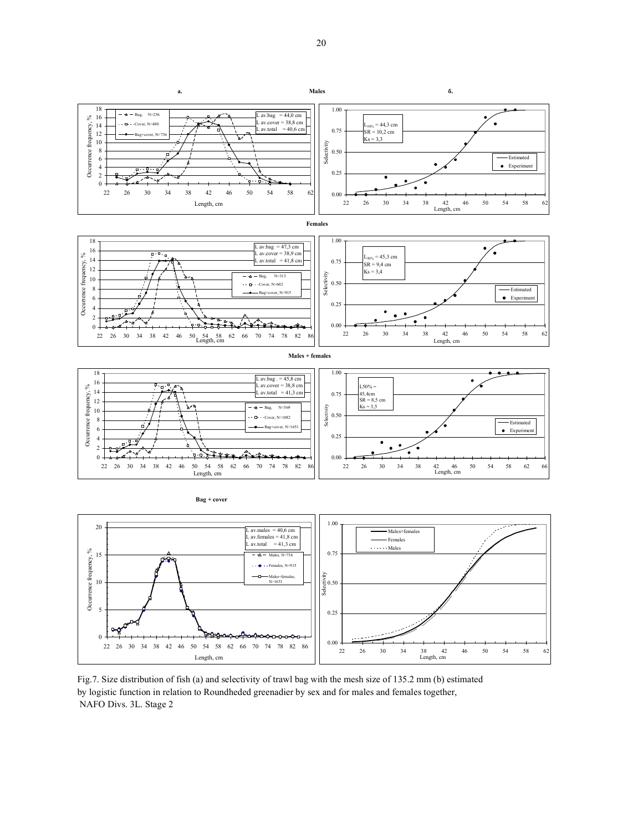



Females, N=915 Males+females, N=1651

0.25

0.50

Selectivity

NAFO Divs. 3L. Stage 2

5

10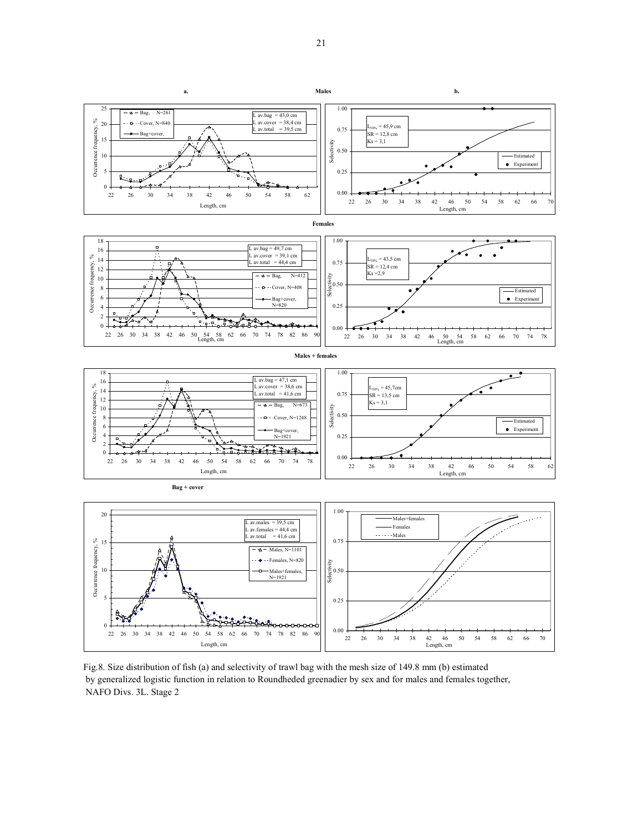

Fig.8. Size distribution of fish (a) and selectivity of trawl bag with the mesh size of 149.8 mm (b) estimated by generalized logistic function in relation to Roundheded greenadier by sex and for males and females together, NAFO Divs. 3L. Stage 2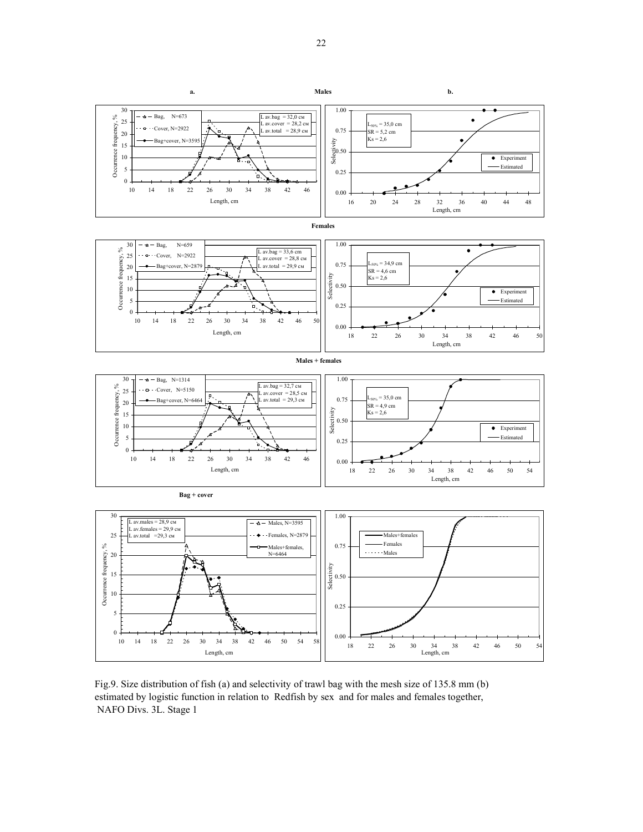

Fig.9. Size distribution of fish (a) and selectivity of trawl bag with the mesh size of 135.8 mm (b) estimated by logistic function in relation to Redfish by sex and for males and females together, NAFO Divs. 3L. Stage 1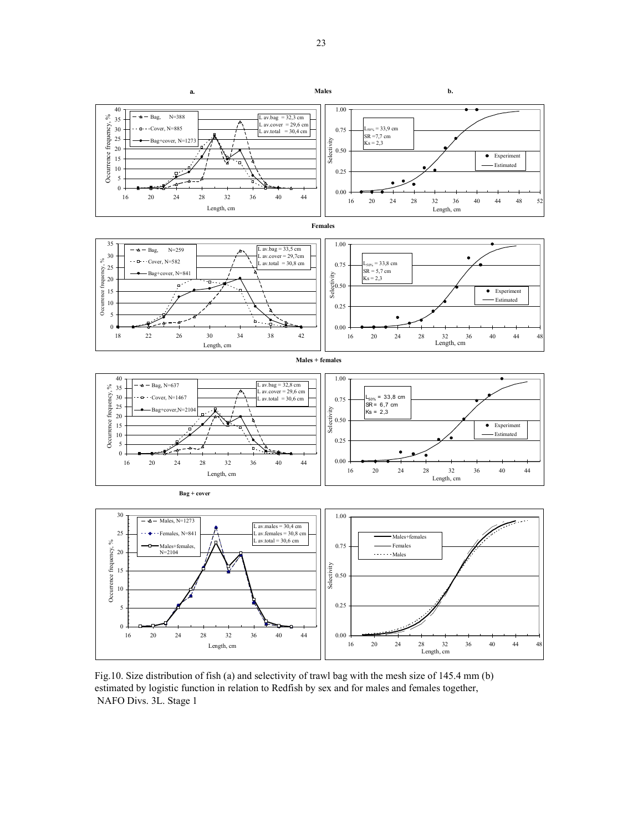

Fig.10. Size distribution of fish (a) and selectivity of trawl bag with the mesh size of 145.4 mm (b) estimated by logistic function in relation to Redfish by sex and for males and females together, NAFO Divs. 3L. Stage 1